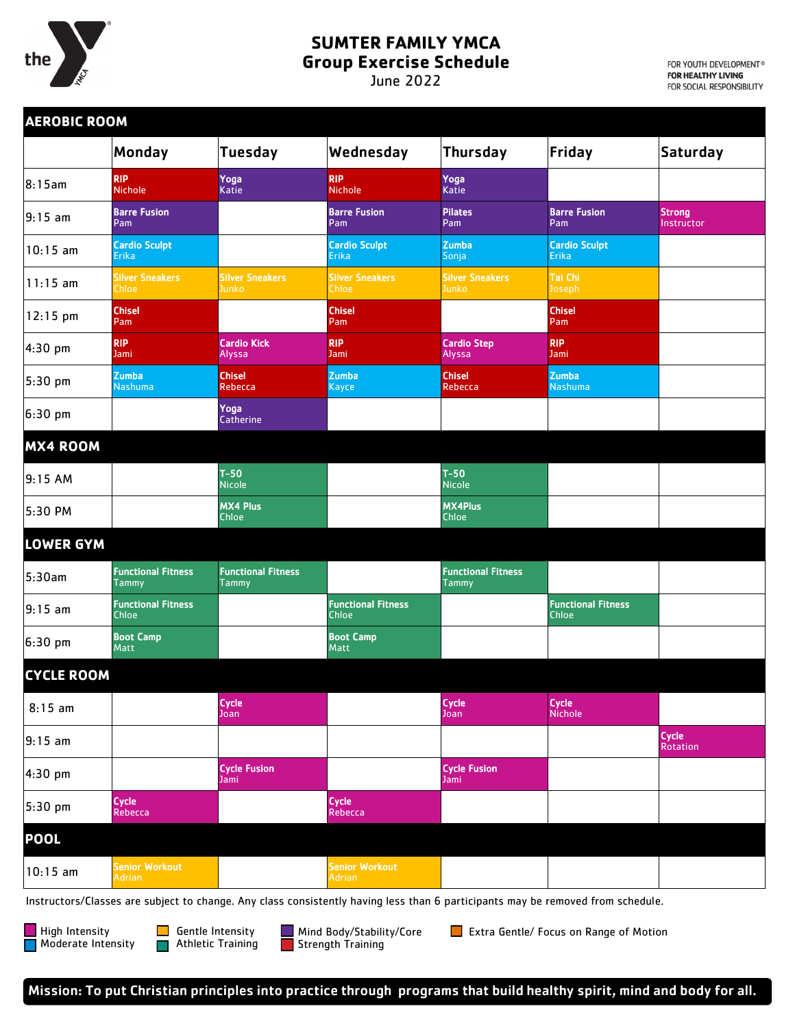

## **SUMTER FAMILY YMCA**

**Group Exercise Schedule**

June 2022

FOR YOUTH DEVELOPMENT® FOR HEALTHY LIVING FOR SOCIAL RESPONSIBILITY

|                   | Monday                                    | <b>Tuesday</b>                     | Wednesday                                 | <b>Thursday</b>                    | Friday                                    | <b>Saturday</b>             |
|-------------------|-------------------------------------------|------------------------------------|-------------------------------------------|------------------------------------|-------------------------------------------|-----------------------------|
| 8:15am            | <b>RIP</b><br><b>Nichole</b>              | Yoga<br>Katie                      | <b>RIP</b><br><b>Nichole</b>              | Yoga<br><b>Katie</b>               |                                           |                             |
| $9:15$ am         | <b>Barre Fusion</b><br>Pam                |                                    | <b>Barre Fusion</b><br>Pam                | <b>Pilates</b><br>Pam              | <b>Barre Fusion</b><br>Pam                | <b>Strong</b><br>Instructor |
| $10:15$ am        | <b>Cardio Sculpt</b><br><b>Erika</b>      |                                    | <b>Cardio Sculpt</b><br>Erika             | <b>Zumba</b><br>Sonja              | <b>Cardio Sculpt</b><br><b>Erika</b>      |                             |
| $11:15$ am        | <b>Silver Sneakers</b><br>Chloe           | <b>Silver Sneakers</b><br>Junko    | <b>Silver Sneakers</b><br>Chloe           | <b>Silver Sneakers</b><br>Junko    | Tai Chi<br>Joseph                         |                             |
| 12:15 pm          | <b>Chisel</b><br>Pam                      |                                    | <b>Chisel</b><br>Pam                      |                                    | <b>Chisel</b><br>Pam                      |                             |
| 4:30 pm           | <b>RIP</b><br>Jami                        | <b>Cardio Kick</b><br>Alyssa       | <b>RIP</b><br>Jami                        | <b>Cardio Step</b><br>Alyssa       | <b>RIP</b><br>Jami                        |                             |
| $5:30$ pm         | <b>Zumba</b><br><b>Nashuma</b>            | <b>Chisel</b><br>Rebecca           | <b>Zumba</b><br>Kayce                     | <b>Chisel</b><br>Rebecca           | <b>Zumba</b><br><b>Nashuma</b>            |                             |
| 6:30 pm           |                                           | Yoga<br><b>Catherine</b>           |                                           |                                    |                                           |                             |
| <b>MX4 ROOM</b>   |                                           |                                    |                                           |                                    |                                           |                             |
| 9:15AM            |                                           | $T-50$<br><b>Nicole</b>            |                                           | $T-50$<br><b>Nicole</b>            |                                           |                             |
| 5:30 PM           |                                           | <b>MX4 Plus</b><br><b>Chloe</b>    |                                           | <b>MX4Plus</b><br><b>Chloe</b>     |                                           |                             |
| <b>LOWER GYM</b>  |                                           |                                    |                                           |                                    |                                           |                             |
| 5:30am            | <b>Functional Fitness</b><br>Tammy        | <b>Functional Fitness</b><br>Tammy |                                           | <b>Functional Fitness</b><br>Tammy |                                           |                             |
| $9:15$ am         | <b>Functional Fitness</b><br><b>Chloe</b> |                                    | <b>Functional Fitness</b><br><b>Chloe</b> |                                    | <b>Functional Fitness</b><br><b>Chloe</b> |                             |
| 6:30 pm           | <b>Boot Camp</b><br>Matt                  |                                    | <b>Boot Camp</b><br>Matt                  |                                    |                                           |                             |
| <b>CYCLE ROOM</b> |                                           |                                    |                                           |                                    |                                           |                             |
| $8:15$ am         |                                           | <b>Cycle</b><br>Joan               |                                           | Cycle<br>Joan                      | Cycle<br>Nichole                          |                             |
| $9:15$ am         |                                           |                                    |                                           |                                    |                                           | Cycle<br><b>Rotation</b>    |
| 4:30 pm           |                                           | <b>Cycle Fusion</b><br>Jami        |                                           | <b>Cycle Fusion</b><br>Jami        |                                           |                             |
| $5:30$ pm         | <b>Cycle</b><br>Rebecca                   |                                    | <b>Cycle</b><br>Rebecca                   |                                    |                                           |                             |
| <b>POOL</b>       |                                           |                                    |                                           |                                    |                                           |                             |
| $10:15$ am        | <b>Senior Workout</b><br><b>Adrian</b>    |                                    | <b>Senior Workout</b><br><b>Adrian</b>    |                                    |                                           |                             |

High Intensity **Moderate Intensity** 

Mind Body/Stability/Core  $\blacksquare$  Strength Training

**Extra Gentle/ Focus on Range of Motion**